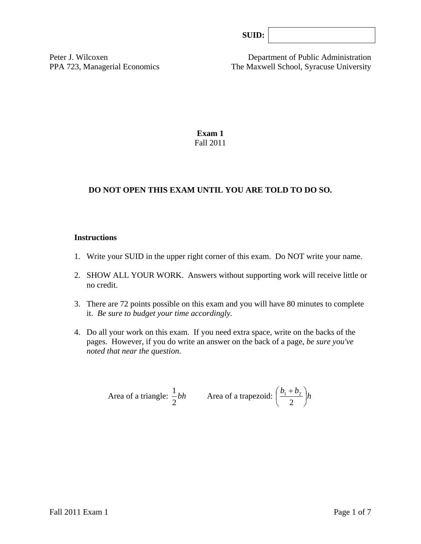Peter J. Wilcoxen Department of Public Administration PPA 723, Managerial Economics The Maxwell School, Syracuse University

> **Exam 1**  Fall 2011

# **DO NOT OPEN THIS EXAM UNTIL YOU ARE TOLD TO DO SO.**

#### **Instructions**

- 1. Write your SUID in the upper right corner of this exam. Do NOT write your name.
- 2. SHOW ALL YOUR WORK. Answers without supporting work will receive little or no credit.
- 3. There are 72 points possible on this exam and you will have 80 minutes to complete it. *Be sure to budget your time accordingly.*
- 4. Do all your work on this exam. If you need extra space, write on the backs of the pages. However, if you do write an answer on the back of a page, *be sure you've noted that near the question*.

Area of a triangle: 
$$
\frac{1}{2}bh
$$
 Area of a trapezoid:  $\left(\frac{b_1 + b_2}{2}\right)h$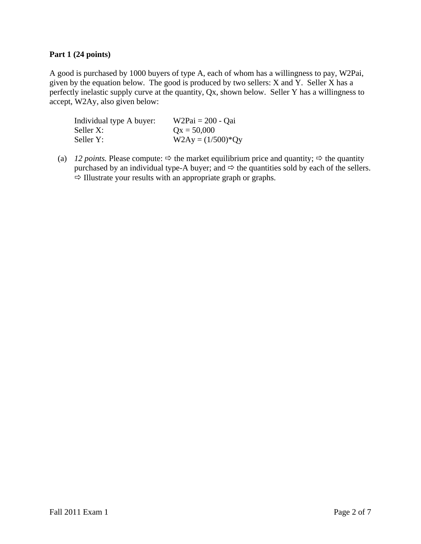### **Part 1 (24 points)**

A good is purchased by 1000 buyers of type A, each of whom has a willingness to pay, W2Pai, given by the equation below. The good is produced by two sellers: X and Y. Seller X has a perfectly inelastic supply curve at the quantity, Qx, shown below. Seller Y has a willingness to accept, W2Ay, also given below:

| Individual type A buyer: | $W2Pai = 200 - Qai$  |
|--------------------------|----------------------|
| Seller X:                | $Qx = 50,000$        |
| Seller Y:                | $W2Ay = (1/500)^*Qy$ |

(a) *12 points.* Please compute:  $\Rightarrow$  the market equilibrium price and quantity;  $\Rightarrow$  the quantity purchased by an individual type-A buyer; and  $\Leftrightarrow$  the quantities sold by each of the sellers.  $\Rightarrow$  Illustrate your results with an appropriate graph or graphs.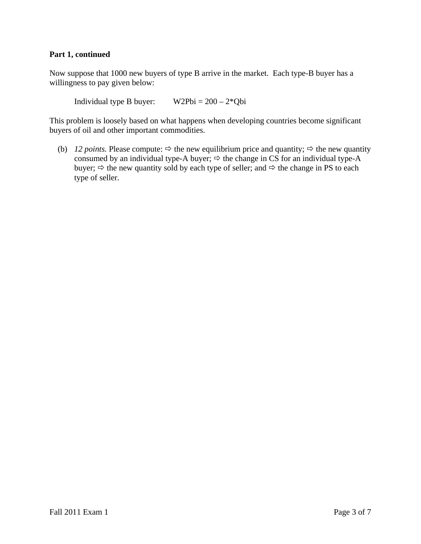### **Part 1, continued**

Now suppose that 1000 new buyers of type B arrive in the market. Each type-B buyer has a willingness to pay given below:

Individual type B buyer:  $W2Pbi = 200 - 2*Qbi$ 

This problem is loosely based on what happens when developing countries become significant buyers of oil and other important commodities.

(b) *12 points.* Please compute:  $\Rightarrow$  the new equilibrium price and quantity;  $\Rightarrow$  the new quantity consumed by an individual type-A buyer;  $\Rightarrow$  the change in CS for an individual type-A buyer;  $\Rightarrow$  the new quantity sold by each type of seller; and  $\Rightarrow$  the change in PS to each type of seller.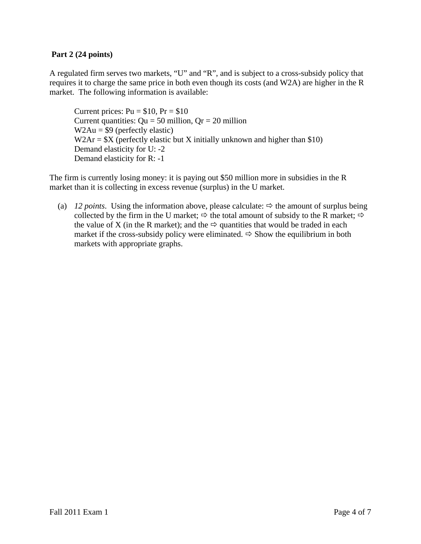## **Part 2 (24 points)**

A regulated firm serves two markets, "U" and "R", and is subject to a cross-subsidy policy that requires it to charge the same price in both even though its costs (and W2A) are higher in the R market. The following information is available:

Current prices:  $Pu = $10$ ,  $Pr = $10$ Current quantities:  $Qu = 50$  million,  $Qr = 20$  million  $W2Au = $9$  (perfectly elastic)  $W2Ar = $X$  (perfectly elastic but X initially unknown and higher than \$10) Demand elasticity for U: -2 Demand elasticity for R: -1

The firm is currently losing money: it is paying out \$50 million more in subsidies in the R market than it is collecting in excess revenue (surplus) in the U market.

(a) *12 points*. Using the information above, please calculate:  $\Rightarrow$  the amount of surplus being collected by the firm in the U market;  $\Rightarrow$  the total amount of subsidy to the R market;  $\Rightarrow$ the value of X (in the R market); and the  $\Rightarrow$  quantities that would be traded in each market if the cross-subsidy policy were eliminated.  $\Rightarrow$  Show the equilibrium in both markets with appropriate graphs.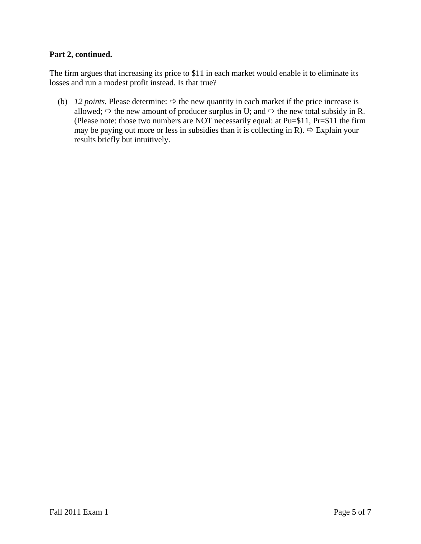## **Part 2, continued.**

The firm argues that increasing its price to \$11 in each market would enable it to eliminate its losses and run a modest profit instead. Is that true?

(b) *12 points.* Please determine:  $\Rightarrow$  the new quantity in each market if the price increase is allowed;  $\Rightarrow$  the new amount of producer surplus in U; and  $\Rightarrow$  the new total subsidy in R. (Please note: those two numbers are NOT necessarily equal: at Pu=\$11, Pr=\$11 the firm may be paying out more or less in subsidies than it is collecting in R).  $\Rightarrow$  Explain your results briefly but intuitively.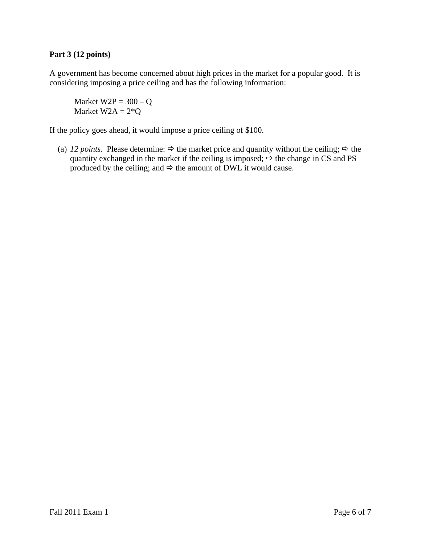# **Part 3 (12 points)**

A government has become concerned about high prices in the market for a popular good. It is considering imposing a price ceiling and has the following information:

Market  $W2P = 300 - Q$ Market  $W2A = 2*Q$ 

If the policy goes ahead, it would impose a price ceiling of \$100.

(a) *12 points*. Please determine:  $\Rightarrow$  the market price and quantity without the ceiling;  $\Rightarrow$  the quantity exchanged in the market if the ceiling is imposed;  $\Rightarrow$  the change in CS and PS produced by the ceiling; and  $\Leftrightarrow$  the amount of DWL it would cause.